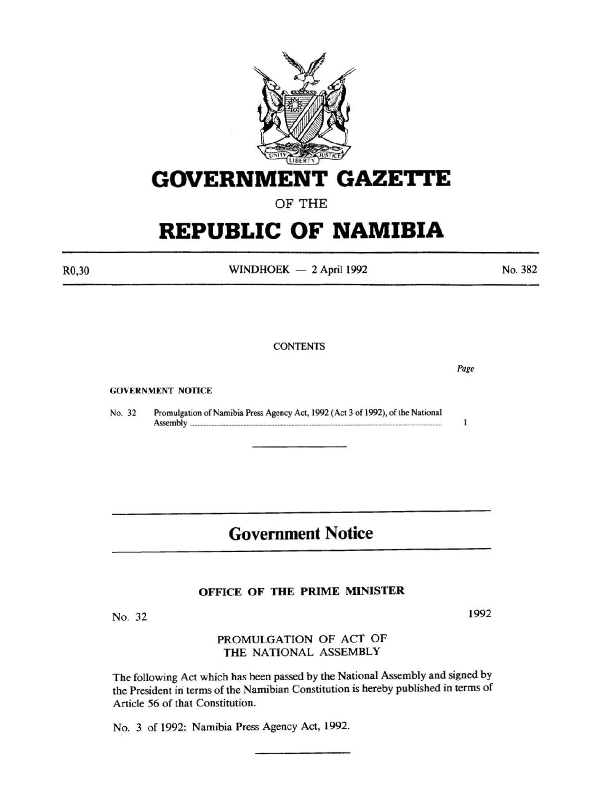

# **GOVERNMENT GAZE'rtE**

OF THE

# **REPUBLIC OF NAMIBIA**

R0,30

 $WINDHOEK - 2 April 1992$ 

No. 382

**CONTENTS** 

GOVERNMENT NOTICE

No. 32 Promulgation of Namibia Press Agency Act, 1992 (Act 3 of 1992), of the National  $\textbf{ASSEMDIY}$   $\ldots$   $\ldots$   $\ldots$   $\ldots$   $\ldots$   $\ldots$   $\ldots$   $\ldots$   $\ldots$   $\ldots$   $\ldots$   $\ldots$   $\ldots$   $\ldots$   $\ldots$   $\ldots$   $\ldots$ 

# **Government Notice**

## OFFICE OF THE PRIME MINISTER

No. 32

### PROMULGATION OF ACT OF THE NATIONAL ASSEMBLY

The following Act which has been passed by the National Assembly and signed by the President in terms of the Namibian Constitution is hereby published in terms of Article 56 of that Constitution.

No. 3 of 1992: Namibia Press Agency Act, 1992.

1992

Page

 $\mathbf{1}$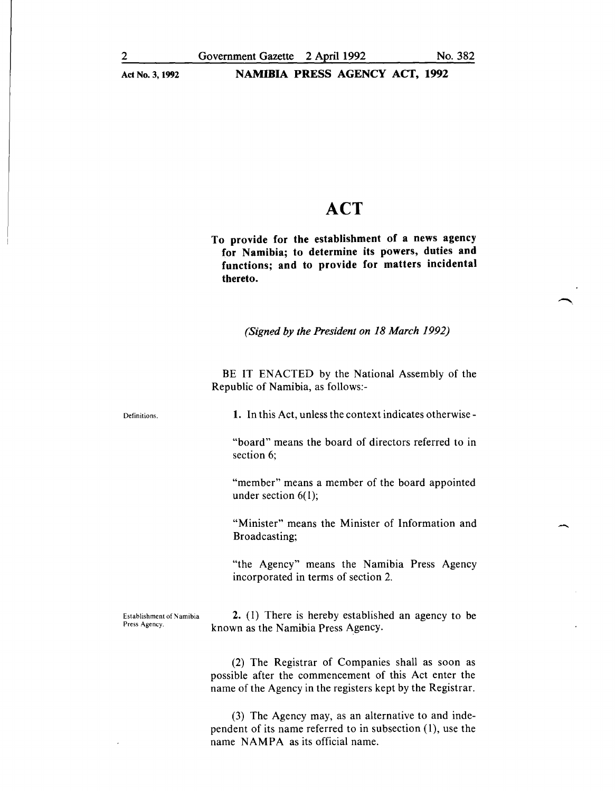# **ACT**

To provide for the establishment of a news agency for Namibia; to determine its powers, duties and functions; and to provide for matters incidental thereto.

*(Signed by the President on 18 March 1992)* 

BE IT ENACTED by the National Assembly of the Republic of Namibia, as follows:-

Definitions.

1. In this Act, unless the context indicates otherwise-

"board" means the board of directors referred to in section 6;

"member" means a member of the board appointed under section  $6(1)$ ;

"Minister" means the Minister of Information and Broadcasting;

"the Agency" means the Namibia Press Agency incorporated in terms of section 2.

Establishment of Namibia Press Agency.

2. (I) There is hereby established an agency to be known as the Namibia Press Agency.

(2) The Registrar of Companies shall as soon as possible after the commencement of this Act enter the name of the Agency in the registers kept by the Registrar.

(3) The Agency may, as an alternative to and independent of its name referred to in subsection (I), use the name NAMPA as its official name.

-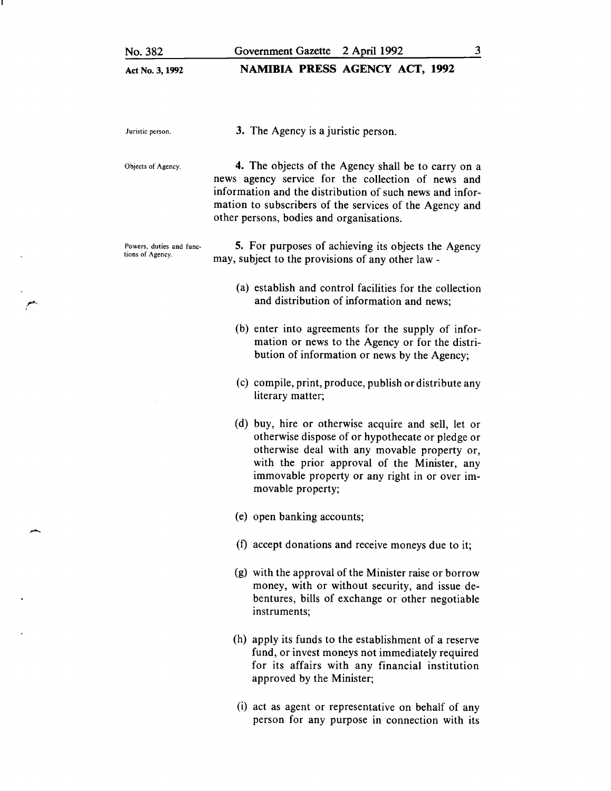#### **NAMIBIA PRESS AGENCY ACT, 1992**

Juristic person.

3. The Agency is a juristic person.

Objects of Agency.

**4.** The objects of the Agency shall be to carry on a news agency service for the collection of news and information and the distribution of such news and information to subscribers of the services of the Agency and other persons, bodies and organisations.

Powers, duties and functions of Agency. 5. For purposes of achieving its objects the Agency may, subject to the provisions of any other law-

- (a) establish and control facilities for the collection and distribution of information and news;
- (b) enter into agreements for the supply of information or news to the Agency or for the distribution of information or news by the Agency;
- (c) compile, print, produce, publish or distribute any literary matter;
- (d) buy, hire or otherwise acquire and sell, let or otherwise dispose of or hypothecate or pledge or otherwise deal with any movable property or, with the prior approval of the Minister, any immovable property or any right in or over immovable property;
- (e) open banking accounts;
- (f) accept donations and receive moneys due to it;
- (g) with the approval of the Minister raise or borrow money, with or without security, and issue debentures, bills of exchange or other negotiable instruments;
- (h) apply its funds to the establishment of a reserve fund, or invest moneys not immediately required for its affairs with any financial institution approved by the Minister;
- (i) act as agent or representative on behalf of any person for any purpose in connection with its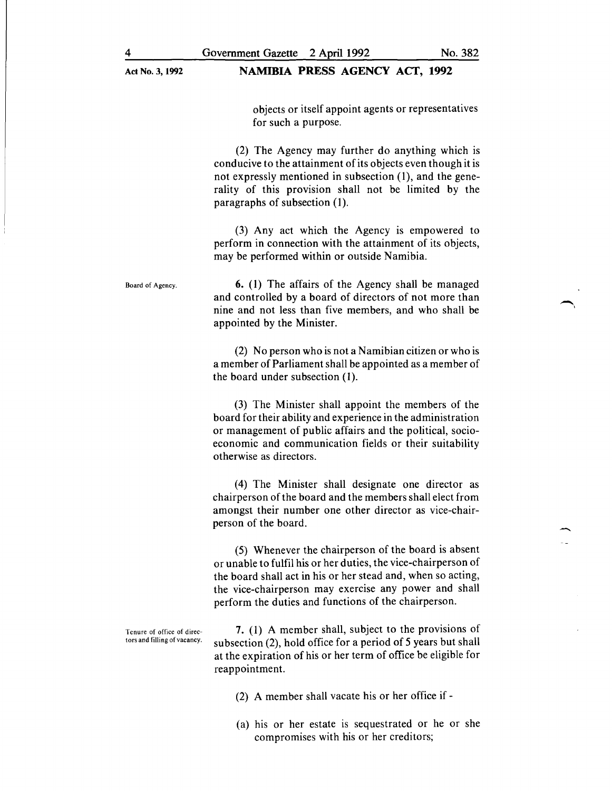#### NAMIBIA PRESS AGENCY ACT, 1992

objects or itself appoint agents or representatives for such a purpose.

(2) The Agency may further do anything which is conducive to the attainment of its objects even though it is not expressly mentioned in subsection (1), and the generality of this provision shall not be limited by the paragraphs of subsection (1).

(3) Any act which the Agency is empowered to perform in connection with the attainment of its objects, may be performed within or outside Namibia.

6. ( 1) The affairs of the Agency shall be managed and controlled by a board of directors of not more than nine and not less than five members, and who shall be appointed by the Minister.

> (2) No person who is not a Namibian citizen or who is a member of Parliament shall be appointed as a member of the board under subsection (1).

> (3) The Minister shall appoint the members of the board for their ability and experience in the administration or management of public affairs and the political, socioeconomic and communication fields or their suitability otherwise as directors.

> (4) The Minister shall designate one director as chairperson of the board and the members shall elect from amongst their number one other director as vice-chairperson of the board.

> (5) Whenever the chairperson of the board is absent or unable to fulfil his or her duties, the vice-chairperson of the board shall act in his or her stead and, when so acting, the vice-chairperson may exercise any power and shall perform the duties and functions of the chairperson.

Tenure of office of direc-<br>tors and filling of vacancy.  $\frac{7.}{2}$  and  $\frac{1}{2}$  and  $\frac{1}{2}$  and  $\frac{1}{2}$  and  $\frac{1}{2}$  and  $\frac{1}{2}$  and  $\frac{1}{2}$  and  $\frac{1}{2}$  and  $\frac{1}{2}$  and  $\frac{1}{2}$  and  $\frac{1}{2}$  and  $\frac{1}{2}$  subsection (2), hold office for a period of 5 years but shall at the expiration of his or her term of office be eligible for reappointment.

(2) A member shall vacate his or her office if -

(a) his or her estate is sequestrated or he or she compromises with his or her creditors;

-,

Board of Agency.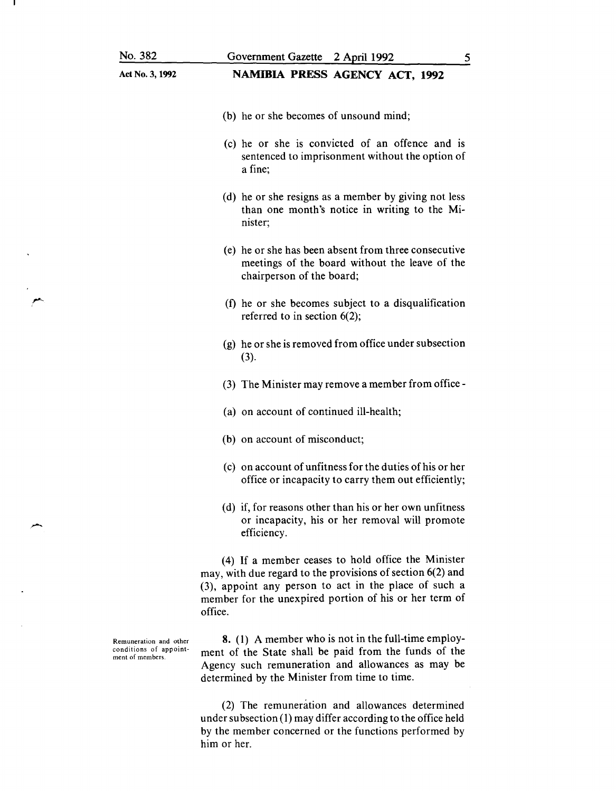| No. 382                                                              | Government Gazette 2 April 1992<br>5                                                                                                                                                                                                             |
|----------------------------------------------------------------------|--------------------------------------------------------------------------------------------------------------------------------------------------------------------------------------------------------------------------------------------------|
| Act No. 3, 1992                                                      | NAMIBIA PRESS AGENCY ACT, 1992                                                                                                                                                                                                                   |
|                                                                      | (b) he or she becomes of unsound mind;                                                                                                                                                                                                           |
|                                                                      | (c) he or she is convicted of an offence and is<br>sentenced to imprisonment without the option of<br>a fine;                                                                                                                                    |
|                                                                      | (d) he or she resigns as a member by giving not less<br>than one month's notice in writing to the Mi-<br>nister;                                                                                                                                 |
|                                                                      | (e) he or she has been absent from three consecutive<br>meetings of the board without the leave of the<br>chairperson of the board;                                                                                                              |
|                                                                      | (f) he or she becomes subject to a disqualification<br>referred to in section $6(2)$ ;                                                                                                                                                           |
|                                                                      | (g) he or she is removed from office under subsection<br>(3).                                                                                                                                                                                    |
|                                                                      | (3) The Minister may remove a member from office -                                                                                                                                                                                               |
|                                                                      | (a) on account of continued ill-health;                                                                                                                                                                                                          |
|                                                                      | (b) on account of misconduct;                                                                                                                                                                                                                    |
|                                                                      | (c) on account of unfitness for the duties of his or her<br>office or incapacity to carry them out efficiently;                                                                                                                                  |
|                                                                      | (d) if, for reasons other than his or her own unfitness<br>or incapacity, his or her removal will promote<br>efficiency.                                                                                                                         |
|                                                                      | (4) If a member ceases to hold office the Minister<br>may, with due regard to the provisions of section $6(2)$ and<br>(3), appoint any person to act in the place of such a<br>member for the unexpired portion of his or her term of<br>office. |
| Remuneration and other<br>conditions of appoint-<br>ment of members. | 8. (1) A member who is not in the full-time employ-<br>ment of the State shall be paid from the funds of the<br>Agency such remuneration and allowances as may be<br>determined by the Minister from time to time.                               |
|                                                                      | (2) The remuneration and allowances determined                                                                                                                                                                                                   |

r-

(2) The remuneration and allowances determined under subsection (1) may differ according to the office held by the member concerned or the functions performed by him or her.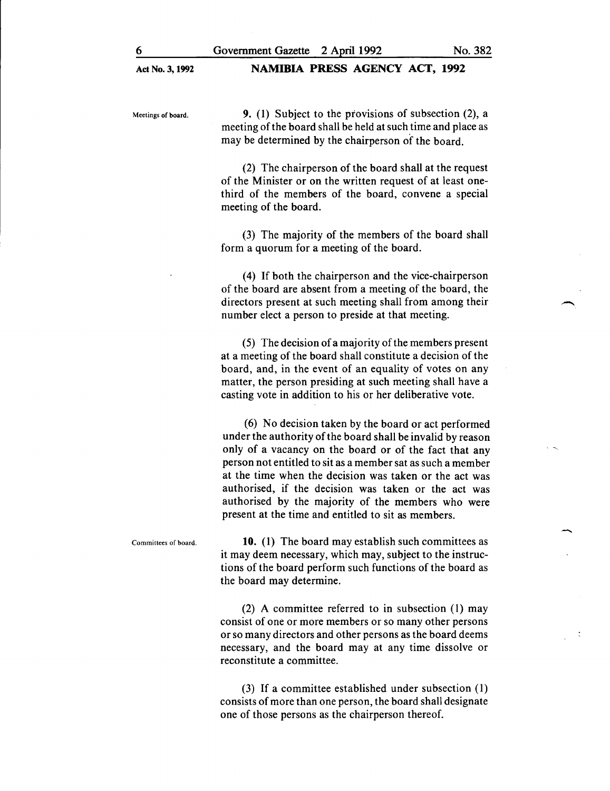Meetings of board.

9. (1) Subject to the provisions of subsection (2), a meeting of the board shall be held at such time and place as may be determined by the chairperson of the board.

(2) The chairperson of the board shall at the request of the Minister or on the written request of at least onethird of the members of the board, convene a special meeting of the board.

(3) The majority of the members of the board shall form a quorum for a meeting of the board.

(4) If both the chairperson and the vice-chairperson of the board are absent from a meeting of the board, the directors present at such meeting shall from among their number elect a person to preside at that meeting.

(5) The decision of a majority of the members present at a meeting of the board shall constitute a decision of the board, and, in the event of an equality of votes on any matter, the person presiding at such meeting shall have a casting vote in addition to his or her deliberative vote.

(6) No decision taken by the board or act performed under the authority of the board shall be invalid by reason only of a vacancy on the board or of the fact that any person not entitled to sit as a member sat as such a member at the time when the decision was taken or the act was authorised, if the decision was taken or the act was authorised by the majority of the members who were present at the time and entitled to sit as members.

Committees of board. 10. (1) The board may establish such committees as it may deem necessary, which may, subject to the instructions of the board perform such functions of the board as the board may determine.

> (2) A committee referred to in subsection  $(1)$  may consist of one or more members or so many other persons or so many directors and other persons as the board deems necessary, and the board may at any time dissolve or reconstitute a committee.

> (3) If a committee established under subsection ( 1) consists of more than one person, the board shall designate one of those persons as the chairperson thereof.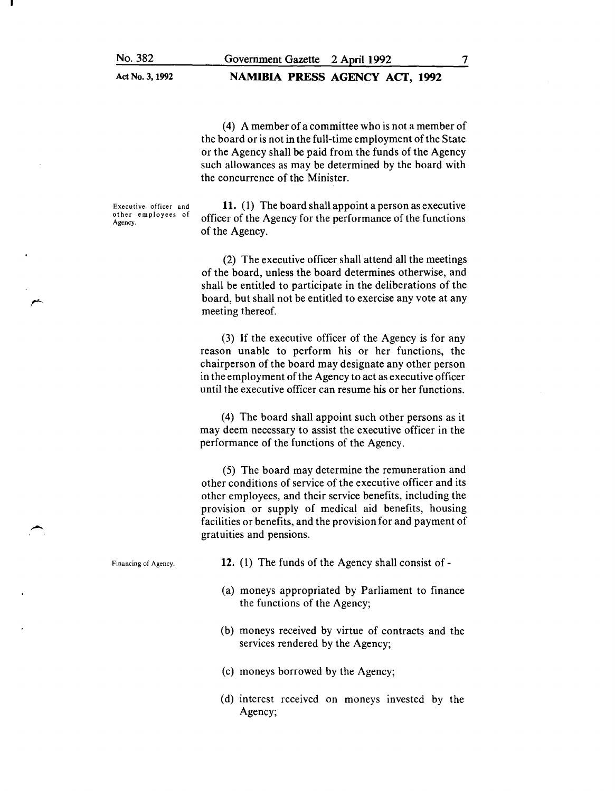#### NAMIBIA PRESS AGENCY ACT, 1992

(4) A member of a committee who is not a member of the board or is not in the full-time employment of the State or the Agency shall be paid from the funds of the Agency such allowances as may be determined by the board with the concurrence of the Minister.

Executive officer and other employees of Agency.

11. (1) The board shall appoint a person as executive officer of the Agency for the performance of the functions of the Agency.

(2) The executive officer shall attend all the meetings of the board, unless the board determines otherwise, and shall be entitled to participate in the deliberations of the board, but shall not be entitled to exercise any vote at any meeting thereof.

(3) If the executive officer of the Agency is for any reason unable to perform his or her functions, the chairperson of the board may designate any other person in the employment of the Agency to act as executive officer until the executive officer can resume his or her functions.

(4) The board shall appoint such other persons as it may deem necessary to assist the executive officer in the performance of the functions of the Agency.

(5) The board may determine the remuneration and other conditions of service of the executive officer and its other employees, and their service benefits, including the provision or supply of medical aid benefits, housing facilities or benefits, and the provision for and payment of gratuities and pensions.

Financing of Agency.

- 12. (1) The funds of the Agency shall consist of -
- (a) moneys appropriated by Parliament to finance the functions of the Agency;
- (b) moneys received by virtue of contracts and the services rendered by the Agency;
- (c) moneys borrowed by the Agency;
- (d) interest received on moneys invested by the Agency;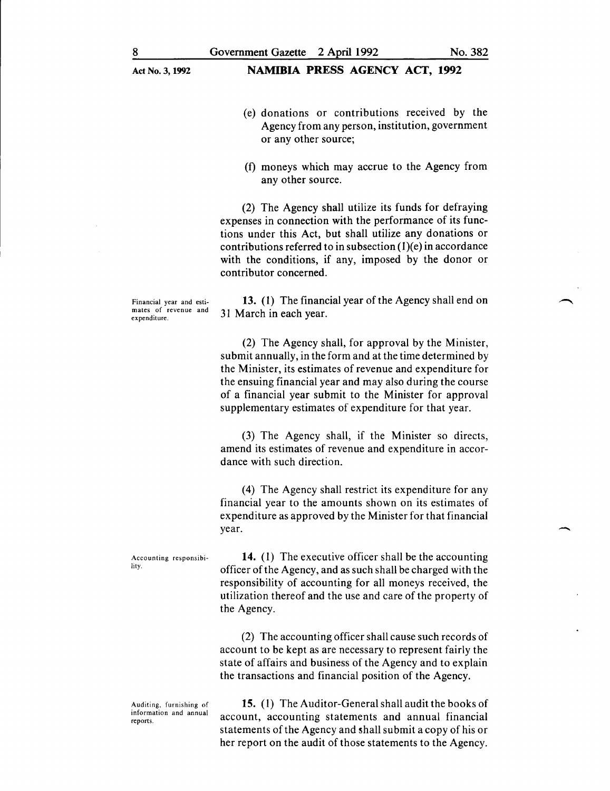#### NAMIBIA PRESS AGENCY ACT, 1992

- 
- (e) donations or contributions received by the Agency from any person, institution, government or any other source;
- (f) moneys which may accrue to the Agency from any other source.

(2) The Agency shall utilize its funds for defraying expenses in connection with the performance of its functions under this Act, but shall utilize any donations or contributions referred to in subsection  $(1)(e)$  in accordance with the conditions, if any, imposed by the donor or contributor concerned.

Financial year and estimates of revenue and expenditure.

13. (1) The financial year of the Agency shall end on 31 March in each year.

(2) The Agency shall, for approval by the Minister, submit annually, in the form and at the time determined by the Minister, its estimates of revenue and expenditure for the ensuing financial year and may also during the course of a financial year submit to the Minister for approval supplementary estimates of expenditure for that year.

(3) The Agency shall, if the Minister so directs, amend its estimates of revenue and expenditure in accordance with such direction.

( 4) The Agency shall restrict its expenditure for any financial year to the amounts shown on its estimates of expenditure as approved by the Minister for that financial year.

Accounting responsibility.

Auditing, furnishing of information and annual reports.

14. (1) The executive officer shall be the accounting officer ofthe Agency, and as such shall be charged with the responsibility of accounting for all moneys received, the utilization thereof and the use and care of the property of the Agency.

(2) The accounting officer shall cause such records of account to be kept as are necessary to represent fairly the state of affairs and business of the Agency and to explain the transactions and financial position of the Agency.

15. (1) The Auditor-General shall audit the books of account, accounting statements and annual financial statements of the Agency and shall submit a copy of his or her report on the audit of those statements to the Agency.

-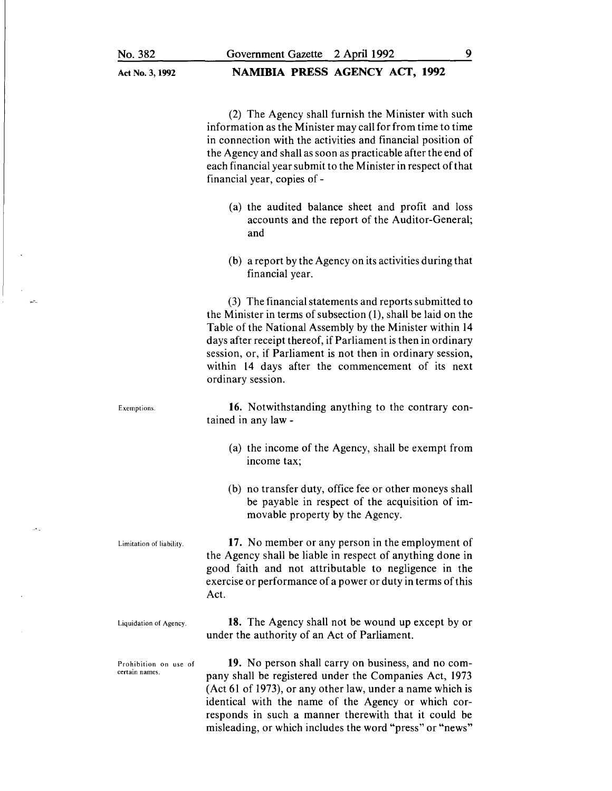### NAMIBIA PRESS AGENCY ACT, 1992

(2) The Agency shall furnish the Minister with such information as the Minister may call for from time to time in connection with the activities and financial position of the Agency and shall as soon as practicable after the end of each financial year submit to the Minister in respect of that financial year, copies of -

- (a) the audited balance sheet and profit and loss accounts and the report of the Auditor-General; and
- (b) a report by the Agency on its activities during that financial year.

(3) The financial statements and reports submitted to the Minister in terms of subsection (1), shall be laid on the Table of the National Assembly by the Minister within 14 days after receipt thereof, if Parliament is then in ordinary session, or, if Parliament is not then in ordinary session, within 14 days after the commencement of its next ordinary session.

16. Notwithstanding anything to the contrary contained in any law -

- (a) the income of the Agency, shall be exempt from income tax;
- (b) no transfer duty, office fee or other moneys shall be payable in respect of the acquisition of immovable property by the Agency.

17. No member or any person in the employment of the Agency shall be liable in respect of anything done in good faith and not attributable to negligence in the exercise or performance of a power or duty in terms of this Act.

Liquidation of Agency.

certain names.

Limitation of liability.

Exemptions.

18. The Agency shall not be wound up except by or under the authority of an Act of Parliament.

Prohibition on use of 19. No person shall carry on business, and no company shall be registered under the Companies Act, 1973 (Act 61 of 1973), or any other law, under a name which is identical with the name of the Agency or which corresponds in such a manner therewith that it could be misleading, or which includes the word "press" or "news"